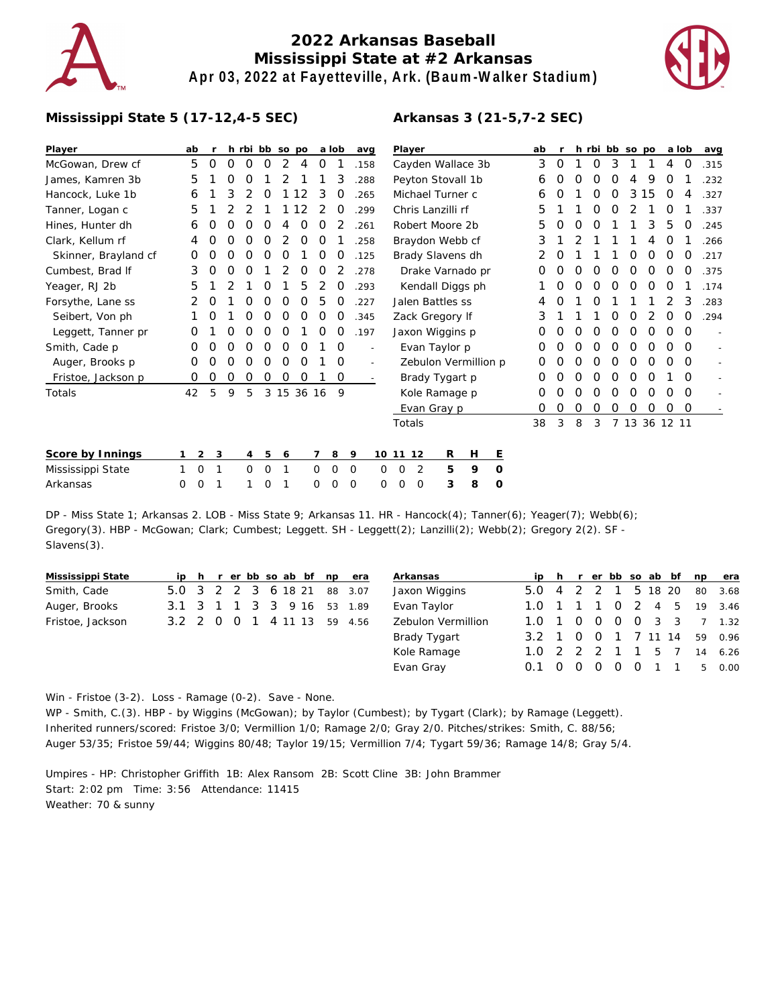

# **2022 Arkansas Baseball Mississippi State at #2 Arkansas Apr 03, 2022 at Fayetteville, Ark. (Baum-Walker Stadium)**



#### **Mississippi State 5 (17-12,4-5 SEC)**

| Player                 | ab |          |   |          |   | h rbi bb so po |    |   | a lob       | avg  | Player                                                                     | ab |                  |          |          |          | h rbi bb so po |               | a lob    |          | avg  |
|------------------------|----|----------|---|----------|---|----------------|----|---|-------------|------|----------------------------------------------------------------------------|----|------------------|----------|----------|----------|----------------|---------------|----------|----------|------|
| McGowan, Drew cf       | 5  | $\Omega$ | 0 | $\Omega$ | O |                | 4  | 0 |             | .158 | Cayden Wallace 3b                                                          | 3  | $\circ$          |          | 0        | 3        |                |               | 4        | 0        | .315 |
| James, Kamren 3b       | 5  |          | Ο | Ο        |   |                |    |   | 3           | .288 | Peyton Stovall 1b                                                          | 6  | O                | O        | O        | O        | 4              | 9             | O        |          | .232 |
| Hancock, Luke 1b       | 6  |          | 3 |          | O |                | 12 | 3 | O           | 265  | Michael Turner c                                                           | 6  | $\left( \right)$ |          | O        | O        | 3              | 15            | 0        | 4        | .327 |
| Tanner, Logan c        | 5  |          |   |          |   |                | 12 |   | O           | .299 | Chris Lanzilli rf                                                          | 5  |                  |          | O        |          |                |               |          |          | .337 |
| Hines, Hunter dh       | 6  | O        | Ω | Ω        | Ω | 4              | 0  | Ο |             | .261 | Robert Moore 2b                                                            | 5  | O                | $\Omega$ | O        |          |                | 3             | 5        | O        | .245 |
| Clark, Kellum rf       | 4  |          |   | Ω        | Ο |                | Ο  | O |             | 258  | Braydon Webb cf                                                            | 3  |                  |          |          |          |                | 4             | O        |          | .266 |
| Skinner, Brayland cf   | 0  | Ω        | Ο | Ο        | O | Ο              |    | O | O           | .125 | Brady Slavens dh                                                           |    | O                |          |          |          | O              | O             | $\Omega$ | O        | .217 |
| Cumbest, Brad If       | 3  | O        | O | Ο        |   |                | O  | 0 |             | .278 | Drake Varnado pr                                                           | Ο  | O                | O        | O        | O        | O              | $\Omega$      | $\Omega$ | O        | .375 |
| Yeager, RJ 2b          | 5  |          |   |          | O |                | 5  |   | O           | .293 | Kendall Diggs ph                                                           |    | O                | O        | O        | O        | O              | O             | O        |          | .174 |
| Forsythe, Lane ss      | 2  | O        |   | Ο        | Ω | Ω              | Ο  | 5 | O           | 227  | Jalen Battles ss                                                           |    | O                |          | Ω        |          |                |               |          | 3        | .283 |
| Seibert, Von ph        |    |          |   | Ω        | Ο | O              | O  | O | O           | .345 | Zack Gregory If                                                            | 3  |                  |          |          |          |                |               | O        | $\Omega$ | .294 |
| Leggett, Tanner pr     | O  |          | Ο | Ο        | O | O              |    | Ο | O           | .197 | Jaxon Wiggins p                                                            | 0  | O                | O        | $\Omega$ | 0        | O              | O             | O        | $\Omega$ |      |
| Smith, Cade p          | 0  |          | Ο | Ο        | Ο | O              | O  |   | 0           |      | Evan Taylor p                                                              | O  | O                | O        | O        | O        | O              | O             | O        | $\Omega$ |      |
| Auger, Brooks p        | O  |          | Ο | Ω        | Ο | 0              | 0  |   | 0           |      | Zebulon Vermillion p                                                       | 0  | O                | O        | O        | O        | O              | O             | 0        | $\Omega$ |      |
| Fristoe, Jackson p     | 0  | O        | 0 | 0        | Ο | Ο              | 0  |   | $\mathbf 0$ |      | Brady Tygart p                                                             | Ο  | O                | O        | O        | O        | O              | O             |          | $\Omega$ |      |
| Totals                 | 42 | 5        | 9 | 5        |   | 3 15 36 16     |    |   | 9           |      | Kole Ramage p                                                              | Ο  |                  |          | O        | O        | O              | O             | O        | $\Omega$ |      |
|                        |    |          |   |          |   |                |    |   |             |      | Evan Gray p                                                                | 0  | O                | 0        | 0        | $\Omega$ | 0              | O             | 0        | $\circ$  |      |
|                        |    |          |   |          |   |                |    |   |             |      | Totals                                                                     | 38 | 3                | 8        | 3        |          |                | 7 13 36 12 11 |          |          |      |
| Concerte de la mateixa |    |          |   |          |   |                |    |   |             |      | $\overline{a}$ $\overline{a}$ $\overline{a}$ $\overline{a}$ $\overline{a}$ |    |                  |          |          |          |                |               |          |          |      |

| Score by Innings  |  |  |  |  | 1 2 3 4 5 6 7 8 9 10 11 12 R H E |  |  |  |
|-------------------|--|--|--|--|----------------------------------|--|--|--|
| Mississippi State |  |  |  |  | 1 0 1 0 0 1 0 0 0 0 0 2 5 9 0    |  |  |  |
| Arkansas          |  |  |  |  | 0 0 1 1 0 1 0 0 0 0 0 0 3 8 0    |  |  |  |

DP - Miss State 1; Arkansas 2. LOB - Miss State 9; Arkansas 11. HR - Hancock(4); Tanner(6); Yeager(7); Webb(6); Gregory(3). HBP - McGowan; Clark; Cumbest; Leggett. SH - Leggett(2); Lanzilli(2); Webb(2); Gregory 2(2). SF - Slavens(3).

| Mississippi State |                            |  |  |  | ip h r er bb so ab bf np era |         | Arkansas |                    |                     |  |                |  |     | ip h r er bb so ab bf np era |
|-------------------|----------------------------|--|--|--|------------------------------|---------|----------|--------------------|---------------------|--|----------------|--|-----|------------------------------|
| Smith, Cade       | 5.0 3 2 2 3 6 18 21        |  |  |  | 88 3.07                      |         |          | Jaxon Wiggins      | 5.0 4 2 2 1 5 18 20 |  |                |  |     | 80 3.68                      |
| Auger, Brooks     | 3.1 3 1 1 3 3 9 16 53 1.89 |  |  |  |                              |         |          | Evan Taylor        |                     |  |                |  |     | 1.0 1 1 1 0 2 4 5 19 3.46    |
| Fristoe, Jackson  | 3.2 2 0 0 1 4 11 13        |  |  |  |                              | 59 4.56 |          | Zebulon Vermillion |                     |  |                |  |     | 1.0 1 0 0 0 0 3 3 7 1.32     |
|                   |                            |  |  |  |                              |         |          | Brady Tygart       |                     |  |                |  |     | 3.2 1 0 0 1 7 11 14 59 0.96  |
|                   |                            |  |  |  |                              |         |          | Kole Ramage        | 1.0 2 2 2 1 1       |  |                |  | 5 7 | 14 6.26                      |
|                   |                            |  |  |  |                              |         |          | Evan Gray          | 0.1 0 0             |  | $\overline{O}$ |  |     | 0 0 1 1 5 0.00               |

Win - Fristoe (3-2). Loss - Ramage (0-2). Save - None.

WP - Smith, C.(3). HBP - by Wiggins (McGowan); by Taylor (Cumbest); by Tygart (Clark); by Ramage (Leggett). Inherited runners/scored: Fristoe 3/0; Vermillion 1/0; Ramage 2/0; Gray 2/0. Pitches/strikes: Smith, C. 88/56; Auger 53/35; Fristoe 59/44; Wiggins 80/48; Taylor 19/15; Vermillion 7/4; Tygart 59/36; Ramage 14/8; Gray 5/4.

Umpires - HP: Christopher Griffith 1B: Alex Ransom 2B: Scott Cline 3B: John Brammer Start: 2:02 pm Time: 3:56 Attendance: 11415 Weather: 70 & sunny

### **Arkansas 3 (21-5,7-2 SEC)**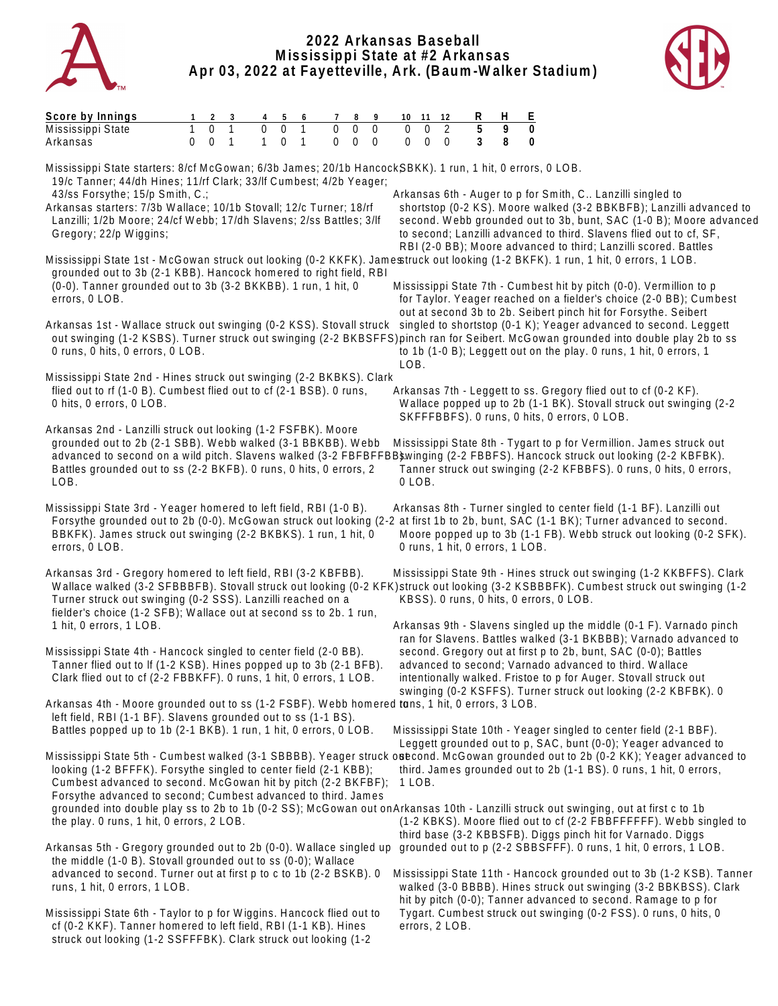

## **2022 Arkansas Baseball Mississippi State at #2 Arkansas Apr 03, 2022 at Fayetteville, Ark. (Baum-Walker Stadium)**



| Score by Innings<br>8<br>9<br>3<br>5<br>7<br>6<br>0<br>$\Omega$<br>$\Omega$<br>$\mathbf 0$<br>$\Omega$<br>$\Omega$<br>1<br>$\mathbf 0$<br>Mississippi State<br>$\overline{0}$<br>$\mathbf{1}$<br>$\mathbf{1}$<br>$\mathbf 0$<br>$\mathbf{1}$<br>$\mathbf{0}$<br>$\overline{0}$<br>$\Omega$<br>$\Omega$<br>Arkansas<br>0                                                                                                                                                                   | R<br>H<br>E<br>10 11 12<br>5<br>9<br>$\mathbf 0$<br>2<br>$\mathbf 0$<br>$\mathbf 0$<br>$\Omega$<br>3<br>8<br>0                                                                                                                                                                                                                                                                                            |
|-------------------------------------------------------------------------------------------------------------------------------------------------------------------------------------------------------------------------------------------------------------------------------------------------------------------------------------------------------------------------------------------------------------------------------------------------------------------------------------------|-----------------------------------------------------------------------------------------------------------------------------------------------------------------------------------------------------------------------------------------------------------------------------------------------------------------------------------------------------------------------------------------------------------|
| Mississippi State starters: 8/cf McGowan; 6/3b James; 20/1b HancockSBKK). 1 run, 1 hit, 0 errors, 0 LOB.<br>19/c Tanner; 44/dh Hines; 11/rf Clark; 33/lf Cumbest; 4/2b Yeager;<br>43/ss Forsythe; 15/p Smith, C.;<br>Arkansas starters: 7/3b Wallace; 10/1b Stovall; 12/c Turner; 18/rf<br>Lanzilli; 1/2b Moore; 24/cf Webb; 17/dh Slavens; 2/ss Battles; 3/lf<br>Gregory; 22/p Wiggins;                                                                                                  | Arkansas 6th - Auger to p for Smith, C Lanzilli singled to<br>shortstop (0-2 KS). Moore walked (3-2 BBKBFB); Lanzilli advanced to<br>second. Webb grounded out to 3b, bunt, SAC (1-0 B); Moore advanced<br>to second; Lanzilli advanced to third. Slavens flied out to cf, SF,                                                                                                                            |
| Mississippi State 1st - McGowan struck out looking (0-2 KKFK). Jamestruck out looking (1-2 BKFK). 1 run, 1 hit, 0 errors, 1 LOB.<br>grounded out to 3b (2-1 KBB). Hancock homered to right field, RBI<br>(0-0). Tanner grounded out to 3b (3-2 BKKBB). 1 run, 1 hit, 0<br>errors, 0 LOB.                                                                                                                                                                                                  | RBI (2-0 BB); Moore advanced to third; Lanzilli scored. Battles<br>Mississippi State 7th - Cumbest hit by pitch (0-0). Vermillion to p<br>for Taylor. Yeager reached on a fielder's choice (2-0 BB); Cumbest                                                                                                                                                                                              |
| Arkansas 1st - Wallace struck out swinging (0-2 KSS). Stovall struck singled to shortstop (0-1 K); Yeager advanced to second. Leggett<br>out swinging (1-2 KSBS). Turner struck out swinging (2-2 BKBSFFS) pinch ran for Seibert. McGowan grounded into double play 2b to ss<br>0 runs, 0 hits, 0 errors, 0 LOB.<br>LOB.                                                                                                                                                                  | out at second 3b to 2b. Seibert pinch hit for Forsythe. Seibert<br>to 1b (1-0 B); Leggett out on the play. 0 runs, 1 hit, 0 errors, 1                                                                                                                                                                                                                                                                     |
| Mississippi State 2nd - Hines struck out swinging (2-2 BKBKS). Clark<br>flied out to rf (1-0 B). Cumbest flied out to cf (2-1 BSB). 0 runs,<br>0 hits, 0 errors, 0 LOB.                                                                                                                                                                                                                                                                                                                   | Arkansas 7th - Leggett to ss. Gregory flied out to cf (0-2 KF).<br>Wallace popped up to 2b (1-1 BK). Stovall struck out swinging (2-2<br>SKFFFBBFS). 0 runs, 0 hits, 0 errors, 0 LOB.                                                                                                                                                                                                                     |
| Arkansas 2nd - Lanzilli struck out looking (1-2 FSFBK). Moore<br>grounded out to 2b (2-1 SBB). Webb walked (3-1 BBKBB). Webb<br>advanced to second on a wild pitch. Slavens walked (3-2 FBFBFFBB\$winging (2-2 FBBFS). Hancock struck out looking (2-2 KBFBK).<br>Battles grounded out to ss (2-2 BKFB). 0 runs, 0 hits, 0 errors, 2<br>LOB.<br>0 LOB.                                                                                                                                    | Mississippi State 8th - Tygart to p for Vermillion. James struck out<br>Tanner struck out swinging (2-2 KFBBFS). 0 runs, 0 hits, 0 errors,                                                                                                                                                                                                                                                                |
| Mississippi State 3rd - Yeager homered to left field, RBI (1-0 B).<br>Forsythe grounded out to 2b (0-0). McGowan struck out looking (2-2 at first 1b to 2b, bunt, SAC (1-1 BK); Turner advanced to second.<br>BBKFK). James struck out swinging (2-2 BKBKS). 1 run, 1 hit, 0<br>errors, 0 LOB.                                                                                                                                                                                            | Arkansas 8th - Turner singled to center field (1-1 BF). Lanzilli out<br>Moore popped up to 3b (1-1 FB). Webb struck out looking (0-2 SFK).<br>0 runs, 1 hit, 0 errors, 1 LOB.                                                                                                                                                                                                                             |
| Arkansas 3rd - Gregory homered to left field, RBI (3-2 KBFBB).<br>Wallace walked (3-2 SFBBBFB). Stovall struck out looking (0-2 KFK)struck out looking (3-2 KSBBBFK). Cumbest struck out swinging (1-2<br>Turner struck out swinging (0-2 SSS). Lanzilli reached on a<br>fielder's choice (1-2 SFB); Wallace out at second ss to 2b. 1 run,                                                                                                                                               | Mississippi State 9th - Hines struck out swinging (1-2 KKBFFS). Clark<br>KBSS). 0 runs, 0 hits, 0 errors, 0 LOB.                                                                                                                                                                                                                                                                                          |
| 1 hit, 0 errors, 1 LOB.<br>Mississippi State 4th - Hancock singled to center field (2-0 BB).<br>Tanner flied out to If (1-2 KSB). Hines popped up to 3b (2-1 BFB).<br>Clark flied out to cf (2-2 FBBKFF). 0 runs, 1 hit, 0 errors, 1 LOB.                                                                                                                                                                                                                                                 | Arkansas 9th - Slavens singled up the middle (0-1 F). Varnado pinch<br>ran for Slavens. Battles walked (3-1 BKBBB); Varnado advanced to<br>second. Gregory out at first p to 2b, bunt, SAC (0-0); Battles<br>advanced to second; Varnado advanced to third. Wallace<br>intentionally walked. Fristoe to p for Auger. Stovall struck out<br>swinging (0-2 KSFFS). Turner struck out looking (2-2 KBFBK). 0 |
| Arkansas 4th - Moore grounded out to ss (1-2 FSBF). Webb homered tans, 1 hit, 0 errors, 3 LOB.<br>left field, RBI (1-1 BF). Slavens grounded out to ss (1-1 BS).<br>Battles popped up to 1b (2-1 BKB). 1 run, 1 hit, 0 errors, 0 LOB.                                                                                                                                                                                                                                                     | Mississippi State 10th - Yeager singled to center field (2-1 BBF).<br>Leggett grounded out to p, SAC, bunt (0-0); Yeager advanced to                                                                                                                                                                                                                                                                      |
| Mississippi State 5th - Cumbest walked (3-1 SBBBB). Yeager struck onecond. McGowan grounded out to 2b (0-2 KK); Yeager advanced to<br>looking (1-2 BFFFK). Forsythe singled to center field (2-1 KBB);<br>Cumbest advanced to second. McGowan hit by pitch (2-2 BKFBF);<br>1 LOB.<br>Forsythe advanced to second; Cumbest advanced to third. James<br>grounded into double play ss to 2b to 1b (0-2 SS); McGowan out onArkansas 10th - Lanzilli struck out swinging, out at first c to 1b | third. James grounded out to 2b (1-1 BS). 0 runs, 1 hit, 0 errors,                                                                                                                                                                                                                                                                                                                                        |
| the play. 0 runs, 1 hit, 0 errors, 2 LOB.<br>Arkansas 5th - Gregory grounded out to 2b (0-0). Wallace singled up                                                                                                                                                                                                                                                                                                                                                                          | (1-2 KBKS). Moore flied out to cf (2-2 FBBFFFFFF). Webb singled to<br>third base (3-2 KBBSFB). Diggs pinch hit for Varnado. Diggs<br>grounded out to p (2-2 SBBSFFF). 0 runs, 1 hit, 0 errors, 1 LOB.                                                                                                                                                                                                     |
| the middle (1-0 B). Stovall grounded out to ss (0-0); Wallace<br>advanced to second. Turner out at first p to c to 1b (2-2 BSKB). 0<br>runs, 1 hit, 0 errors, 1 LOB.                                                                                                                                                                                                                                                                                                                      | Mississippi State 11th - Hancock grounded out to 3b (1-2 KSB). Tanner<br>walked (3-0 BBBB). Hines struck out swinging (3-2 BBKBSS). Clark<br>hit by pitch (0-0); Tanner advanced to second. Ramage to p for                                                                                                                                                                                               |
| Mississippi State 6th - Taylor to p for Wiggins. Hancock flied out to<br>cf (0-2 KKF). Tanner homered to left field, RBI (1-1 KB). Hines                                                                                                                                                                                                                                                                                                                                                  | Tygart. Cumbest struck out swinging (0-2 FSS). 0 runs, 0 hits, 0<br>errors, 2 LOB.                                                                                                                                                                                                                                                                                                                        |

struck out looking (1-2 SSFFFBK). Clark struck out looking (1-2